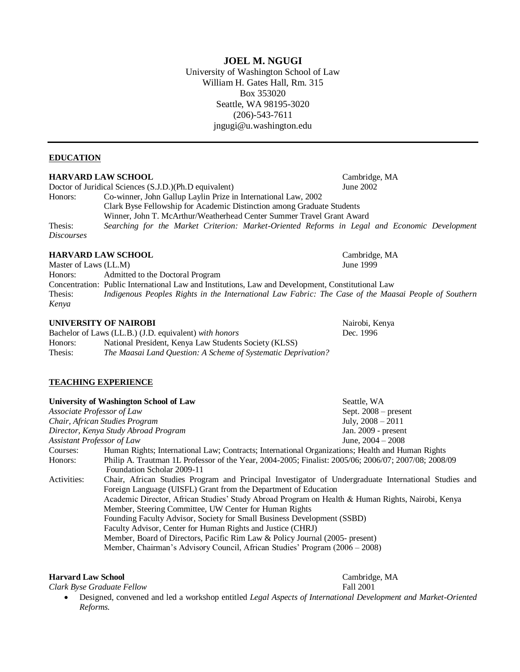**JOEL M. NGUGI** University of Washington School of Law William H. Gates Hall, Rm. 315 Box 353020 Seattle, WA 98195-3020 (206)-543-7611 jngugi@u.washington.edu

#### **EDUCATION**

#### **HARVARD LAW SCHOOL** Cambridge, MA

Doctor of Juridical Sciences (S.J.D.)(Ph.D equivalent) June 2002 Honors: Co-winner, John Gallup Laylin Prize in International Law, 2002 Clark Byse Fellowship for Academic Distinction among Graduate Students Winner, John T. McArthur/Weatherhead Center Summer Travel Grant Award Thesis: *Searching for the Market Criterion: Market-Oriented Reforms in Legal and Economic Development Discourses*

#### **HARVARD LAW SCHOOL Cambridge, MA**

Master of Laws (LL.M) June 1999 Honors: Admitted to the Doctoral Program Concentration: Public International Law and Institutions, Law and Development, Constitutional Law Thesis: *Indigenous Peoples Rights in the International Law Fabric: The Case of the Maasai People of Southern Kenya*

#### **UNIVERSITY OF NAIROBI** Nairobi, Kenya

Bachelor of Laws (LL.B.) (J.D. equivalent) *with honors* Dec. 1996 Honors: National President, Kenya Law Students Society (KLSS) Thesis: *The Maasai Land Question: A Scheme of Systematic Deprivation?*

## **TEACHING EXPERIENCE**

|                                      | University of Washington School of Law                                                               | Seattle, WA            |
|--------------------------------------|------------------------------------------------------------------------------------------------------|------------------------|
| Associate Professor of Law           |                                                                                                      | Sept. $2008$ – present |
| Chair, African Studies Program       |                                                                                                      | July, $2008 - 2011$    |
| Director, Kenya Study Abroad Program |                                                                                                      | Jan. 2009 - present    |
| Assistant Professor of Law           |                                                                                                      | June, $2004 - 2008$    |
| Courses:                             | Human Rights; International Law; Contracts; International Organizations; Health and Human Rights     |                        |
| Honors:                              | Philip A. Trautman 1L Professor of the Year, 2004-2005; Finalist: 2005/06; 2006/07; 2007/08; 2008/09 |                        |
|                                      | Foundation Scholar 2009-11                                                                           |                        |
| Activities:                          | Chair, African Studies Program and Principal Investigator of Undergraduate International Studies and |                        |
|                                      | Foreign Language (UISFL) Grant from the Department of Education                                      |                        |
|                                      | Academic Director, African Studies' Study Abroad Program on Health & Human Rights, Nairobi, Kenya    |                        |
|                                      | Member, Steering Committee, UW Center for Human Rights                                               |                        |
|                                      | Founding Faculty Advisor, Society for Small Business Development (SSBD)                              |                        |
|                                      | Faculty Advisor, Center for Human Rights and Justice (CHRJ)                                          |                        |
|                                      | Member, Board of Directors, Pacific Rim Law & Policy Journal (2005- present)                         |                        |
|                                      | Member, Chairman's Advisory Council, African Studies' Program (2006 – 2008)                          |                        |

#### **Harvard Law School** Cambridge, MA

*Clark Byse Graduate Fellow* Fall 2001

 Designed, convened and led a workshop entitled *Legal Aspects of International Development and Market-Oriented Reforms.*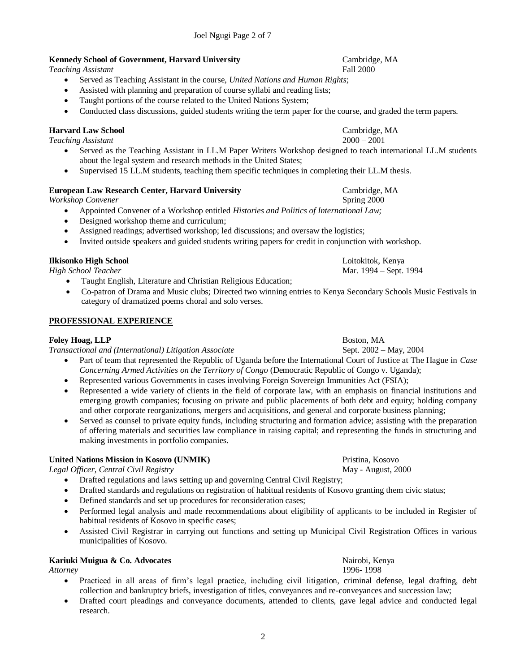# **Kennedy School of Government, Harvard University** Cambridge, MA

*Teaching Assistant* Fall 2000

- Served as Teaching Assistant in the course, *United Nations and Human Rights*;
- Assisted with planning and preparation of course syllabi and reading lists;
- Taught portions of the course related to the United Nations System;
- Conducted class discussions, guided students writing the term paper for the course, and graded the term papers.

## **Harvard Law School** Cambridge, MA

*Teaching Assistant* 2000 – 2001

- Served as the Teaching Assistant in LL.M Paper Writers Workshop designed to teach international LL.M students about the legal system and research methods in the United States;
- Supervised 15 LL.M students, teaching them specific techniques in completing their LL.M thesis.

#### **European Law Research Center, Harvard University Cambridge, MA Cambridge, MA**

*Workshop Convener* Spring 2000

- Appointed Convener of a Workshop entitled *Histories and Politics of International Law;*
- Designed workshop theme and curriculum;
- Assigned readings; advertised workshop; led discussions; and oversaw the logistics;
- Invited outside speakers and guided students writing papers for credit in conjunction with workshop.

## **Ilkisonko High School** Loitokitok, Kenya

- Taught English, Literature and Christian Religious Education;
- Co-patron of Drama and Music clubs; Directed two winning entries to Kenya Secondary Schools Music Festivals in category of dramatized poems choral and solo verses.

#### **PROFESSIONAL EXPERIENCE**

## **Foley Hoag, LLP** Boston, MA

*Transactional and (International) Litigation Associate* Sept. 2002 – May, 2004

- Part of team that represented the Republic of Uganda before the International Court of Justice at The Hague in *Case Concerning Armed Activities on the Territory of Congo* (Democratic Republic of Congo v. Uganda);
- Represented various Governments in cases involving Foreign Sovereign Immunities Act (FSIA);
- Represented a wide variety of clients in the field of corporate law, with an emphasis on financial institutions and emerging growth companies; focusing on private and public placements of both debt and equity; holding company and other corporate reorganizations, mergers and acquisitions, and general and corporate business planning;
- Served as counsel to private equity funds, including structuring and formation advice; assisting with the preparation of offering materials and securities law compliance in raising capital; and representing the funds in structuring and making investments in portfolio companies.

## **United Nations Mission in Kosovo (UNMIK)** Pristina, Kosovo

*Legal Officer, Central Civil Registry* May - August, 2000

- Drafted regulations and laws setting up and governing Central Civil Registry;
- Drafted standards and regulations on registration of habitual residents of Kosovo granting them civic status;
- Defined standards and set up procedures for reconsideration cases;
- Performed legal analysis and made recommendations about eligibility of applicants to be included in Register of habitual residents of Kosovo in specific cases;
- Assisted Civil Registrar in carrying out functions and setting up Municipal Civil Registration Offices in various municipalities of Kosovo.

# **Kariuki Muigua & Co. Advocates** National Renewal Renewal Renewal Renewal Renewal Renewal Renewal Renewal Renewal Renewal Renewal Renewal Renewal Renewal Renewal Renewal Renewal Renewal Renewal Renewal Renewal Renewal Rene

*Attorney* 1996- 1998

- Practiced in all areas of firm"s legal practice, including civil litigation, criminal defense, legal drafting, debt collection and bankruptcy briefs, investigation of titles, conveyances and re-conveyances and succession law;
- Drafted court pleadings and conveyance documents, attended to clients, gave legal advice and conducted legal research.

*High School Teacher* Mar. 1994 – Sept. 1994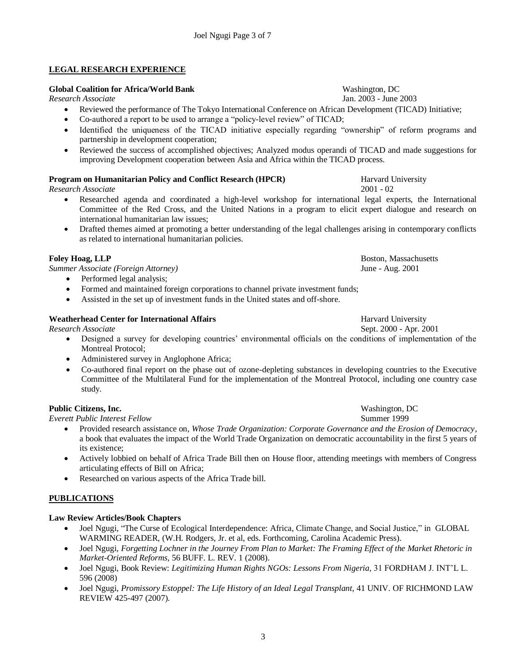# **LEGAL RESEARCH EXPERIENCE**

# **Global Coalition for Africa/World Bank** Washington, DC

- Reviewed the performance of The Tokyo International Conference on African Development (TICAD) Initiative;
- Co-authored a report to be used to arrange a "policy-level review" of TICAD;
- Identified the uniqueness of the TICAD initiative especially regarding "ownership" of reform programs and partnership in development cooperation;
- Reviewed the success of accomplished objectives; Analyzed modus operandi of TICAD and made suggestions for improving Development cooperation between Asia and Africa within the TICAD process.

# **Program on Humanitarian Policy and Conflict Research (HPCR)** Harvard University

*Research Associate* 2001 - 02

- Researched agenda and coordinated a high-level workshop for international legal experts, the International Committee of the Red Cross, and the United Nations in a program to elicit expert dialogue and research on international humanitarian law issues;
- Drafted themes aimed at promoting a better understanding of the legal challenges arising in contemporary conflicts as related to international humanitarian policies.

*Summer Associate (Foreign Attorney)* June - Aug. 2001

- Performed legal analysis;
- Formed and maintained foreign corporations to channel private investment funds;
- Assisted in the set up of investment funds in the United states and off-shore.

# **Weatherhead Center for International Affairs** Harvard University

*Research Associate* **Sept. 2000 - Apr. 2001** 

- Designed a survey for developing countries" environmental officials on the conditions of implementation of the Montreal Protocol;
- Administered survey in Anglophone Africa;
- Co-authored final report on the phase out of ozone-depleting substances in developing countries to the Executive Committee of the Multilateral Fund for the implementation of the Montreal Protocol, including one country case study.

## **Public Citizens, Inc.** Washington, DC

*Everett Public Interest Fellow* Summer 1999

- Provided research assistance on, *Whose Trade Organization: Corporate Governance and the Erosion of Democracy*, a book that evaluates the impact of the World Trade Organization on democratic accountability in the first 5 years of its existence;
- Actively lobbied on behalf of Africa Trade Bill then on House floor, attending meetings with members of Congress articulating effects of Bill on Africa;
- Researched on various aspects of the Africa Trade bill.

# **PUBLICATIONS**

## **Law Review Articles/Book Chapters**

- Joel Ngugi, "The Curse of Ecological Interdependence: Africa, Climate Change, and Social Justice," in GLOBAL WARMING READER, (W.H. Rodgers, Jr. et al, eds. Forthcoming, Carolina Academic Press).
- Joel Ngugi, *Forgetting Lochner in the Journey From Plan to Market: The Framing Effect of the Market Rhetoric in Market-Oriented Reforms,* 56 BUFF. L. REV. 1 (2008).
- Joel Ngugi, Book Review: *Legitimizing Human Rights NGOs: Lessons From Nigeria,* 31 FORDHAM J. INT"L L. 596 (2008)
- Joel Ngugi, *Promissory Estoppel: The Life History of an Ideal Legal Transplant*, 41 UNIV. OF RICHMOND LAW REVIEW 425-497 (2007).

**Foley Hoag, LLP** Boston, Massachusetts

*Research Associate* Jan. 2003 - June 2003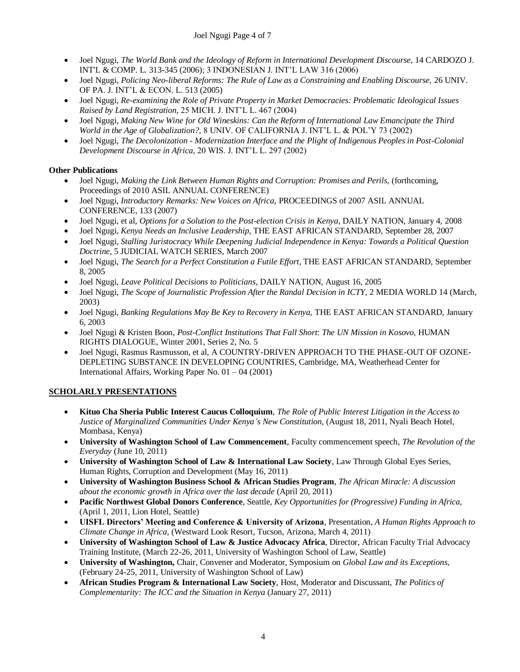- Joel Ngugi, *The World Bank and the Ideology of Reform in International Development Discourse*, 14 CARDOZO J. INT'L & COMP. L. 313-345 (2006); 3 INDONESIAN J. INT"L LAW 316 (2006)
- Joel Ngugi, *Policing Neo-liberal Reforms: The Rule of Law as a Constraining and Enabling Discourse,* 26 UNIV. OF PA. J. INT"L & ECON. L. 513 (2005)
- Joel Ngugi, *Re-examining the Role of Private Property in Market Democracies: Problematic Ideological Issues Raised by Land Registration,* 25 MICH. J. INT"L L. 467 (2004)
- Joel Ngugi, *Making New Wine for Old Wineskins: Can the Reform of International Law Emancipate the Third World in the Age of Globalization?,* 8 UNIV. OF CALIFORNIA J. INT"L L. & POL"Y 73 (2002)
- Joel Ngugi, *The Decolonization - Modernization Interface and the Plight of Indigenous Peoples in Post-Colonial Development Discourse in Africa,* 20 WIS. J. INT"L L. 297 (2002)

# **Other Publications**

- Joel Ngugi, *Making the Link Between Human Rights and Corruption: Promises and Perils,* (forthcoming, Proceedings of 2010 ASIL ANNUAL CONFERENCE)
- Joel Ngugi, *Introductory Remarks: New Voices on Africa,* PROCEEDINGS of 2007 ASIL ANNUAL CONFERENCE, 133 (2007)
- Joel Ngugi, et al, *Options for a Solution to the Post-election Crisis in Kenya,* DAILY NATION, January 4, 2008
- Joel Ngugi, *Kenya Needs an Inclusive Leadership,* THE EAST AFRICAN STANDARD, September 28, 2007
- Joel Ngugi, *Stalling Juristocracy While Deepening Judicial Independence in Kenya: Towards a Political Question Doctrine*, 5 JUDICIAL WATCH SERIES, March 2007
- Joel Ngugi, *The Search for a Perfect Constitution a Futile Effort*, THE EAST AFRICAN STANDARD, September 8, 2005
- Joel Ngugi, *Leave Political Decisions to Politicians*, DAILY NATION, August 16, 2005
- Joel Ngugi, *The Scope of Journalistic Profession After the Randal Decision in ICTY*, 2 MEDIA WORLD 14 (March, 2003)
- Joel Ngugi, *Banking Regulations May Be Key to Recovery in Kenya,* THE EAST AFRICAN STANDARD, January 6, 2003
- Joel Ngugi & Kristen Boon, *Post-Conflict Institutions That Fall Short*: *The UN Mission in Kosovo,* HUMAN RIGHTS DIALOGUE, Winter 2001, Series 2, No. 5
- Joel Ngugi, Rasmus Rasmusson, et al, A COUNTRY-DRIVEN APPROACH TO THE PHASE-OUT OF OZONE-DEPLETING SUBSTANCE IN DEVELOPING COUNTRIES, Cambridge, MA, Weatherhead Center for International Affairs, Working Paper No. 01 – 04 (2001)

# **SCHOLARLY PRESENTATIONS**

- **Kituo Cha Sheria Public Interest Caucus Colloquium**, *The Role of Public Interest Litigation in the Access to Justice of Marginalized Communities Under Kenya's New Constitution*, (August 18, 2011, Nyali Beach Hotel, Mombasa, Kenya)
- **University of Washington School of Law Commencement**, Faculty commencement speech, *The Revolution of the Everyday* (June 10, 2011)
- **University of Washington School of Law & International Law Society**, Law Through Global Eyes Series, Human Rights, Corruption and Development (May 16, 2011)
- **University of Washington Business School & African Studies Program**, *The African Miracle: A discussion about the economic growth in Africa over the last decade* (April 20, 2011)
- **Pacific Northwest Global Donors Conference**, Seattle, *Key Opportunities for (Progressive) Funding in Africa,*  (April 1, 2011, Lion Hotel, Seattle)
- **UISFL Directors' Meeting and Conference & University of Arizona**, Presentation, *A Human Rights Approach to Climate Change in Africa,* (Westward Look Resort, Tucson, Arizona, March 4, 2011)
- **University of Washington School of Law & Justice Advocacy Africa**, Director, African Faculty Trial Advocacy Training Institute, (March 22-26, 2011, University of Washington School of Law, Seattle)
- **University of Washington,** Chair, Convener and Moderator, Symposium on *Global Law and its Exceptions*, (February 24-25, 2011, University of Washington School of Law)
- **African Studies Program & International Law Society**, Host, Moderator and Discussant, *The Politics of Complementarity: The ICC and the Situation in Kenya* (January 27, 2011)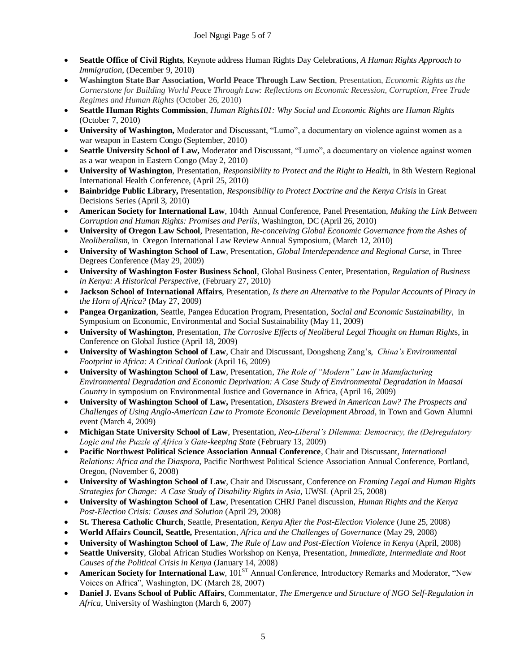- **Seattle Office of Civil Rights**, Keynote address Human Rights Day Celebrations, *A Human Rights Approach to Immigration*, (December 9, 2010)
- **Washington State Bar Association, World Peace Through Law Section**, Presentation, *Economic Rights as the Cornerstone for Building World Peace Through Law: Reflections on Economic Recession, Corruption, Free Trade Regimes and Human Rights* (October 26, 2010)
- **Seattle Human Rights Commission**, *Human Rights101: Why Social and Economic Rights are Human Rights* (October 7, 2010)
- **University of Washington,** Moderator and Discussant, "Lumo", a documentary on violence against women as a war weapon in Eastern Congo (September, 2010)
- **Seattle University School of Law,** Moderator and Discussant, "Lumo", a documentary on violence against women as a war weapon in Eastern Congo (May 2, 2010)
- **University of Washington**, Presentation, *Responsibility to Protect and the Right to Health,* in 8th Western Regional International Health Conference, (April 25, 2010)
- **Bainbridge Public Library,** Presentation, *Responsibility to Protect Doctrine and the Kenya Crisis* in Great Decisions Series (April 3, 2010)
- **American Society for International Law**, 104th Annual Conference, Panel Presentation, *Making the Link Between Corruption and Human Rights: Promises and Perils*, Washington, DC (April 26, 2010)
- **University of Oregon Law School**, Presentation, *Re-conceiving Global Economic Governance from the Ashes of Neoliberalism,* in Oregon International Law Review Annual Symposium, (March 12, 2010)
- **University of Washington School of Law**, Presentation, *Global Interdependence and Regional Curse*, in Three Degrees Conference (May 29, 2009)
- **University of Washington Foster Business School**, Global Business Center, Presentation, *Regulation of Business in Kenya: A Historical Perspective*, (February 27, 2010)
- **Jackson School of International Affairs**, Presentation, *Is there an Alternative to the Popular Accounts of Piracy in the Horn of Africa?* (May 27, 2009)
- **Pangea Organization**, Seattle, Pangea Education Program, Presentation, *Social and Economic Sustainability*, in Symposium on Economic, Environmental and Social Sustainability (May 11, 2009)
- **University of Washington**, Presentation, *The Corrosive Effects of Neoliberal Legal Thought on Human Right*s, in Conference on Global Justice (April 18, 2009)
- **University of Washington School of Law**, Chair and Discussant, Dongsheng Zang"s, *China's Environmental Footprint in Africa: A Critical Outlook* (April 16, 2009)
- **University of Washington School of Law**, Presentation, *The Role of "Modern" Law in Manufacturing Environmental Degradation and Economic Deprivation: A Case Study of Environmental Degradation in Maasai Country* in symposium on Environmental Justice and Governance in Africa, (April 16, 2009)
- **University of Washington School of Law,** Presentation, *Disasters Brewed in American Law? The Prospects and Challenges of Using Anglo-American Law to Promote Economic Development Abroad,* in Town and Gown Alumni event (March 4, 2009)
- **Michigan State University School of Law**, Presentation, *Neo-Liberal's Dilemma: Democracy, the (De)regulatory Logic and the Puzzle of Africa's Gate-keeping State* (February 13, 2009)
- **Pacific Northwest Political Science Association Annual Conference**, Chair and Discussant, *International Relations: Africa and the Diaspora*, Pacific Northwest Political Science Association Annual Conference, Portland, Oregon, (November 6, 2008)
- **University of Washington School of Law**, Chair and Discussant, Conference on *Framing Legal and Human Rights Strategies for Change: A Case Study of Disability Rights in Asia*, UWSL (April 25, 2008)
- **University of Washington School of Law**, Presentation CHRJ Panel discussion, *Human Rights and the Kenya Post-Election Crisis: Causes and Solution* (April 29, 2008)
- **St. Theresa Catholic Church**, Seattle, Presentation, *Kenya After the Post-Election Violence* (June 25, 2008)
- **World Affairs Council, Seattle,** Presentation, *Africa and the Challenges of Governance* (May 29, 2008)
- **University of Washington School of Law**, *The Rule of Law and Post-Election Violence in Kenya* (April, 2008)
- **Seattle University**, Global African Studies Workshop on Kenya, Presentation, *Immediate, Intermediate and Root Causes of the Political Crisis in Kenya* (January 14, 2008)
- **American Society for International Law**, 101<sup>ST</sup> Annual Conference, Introductory Remarks and Moderator, "New Voices on Africa", Washington, DC (March 28, 2007)
- **Daniel J. Evans School of Public Affairs**, Commentator, *The Emergence and Structure of NGO Self-Regulation in Africa,* University of Washington (March 6, 2007)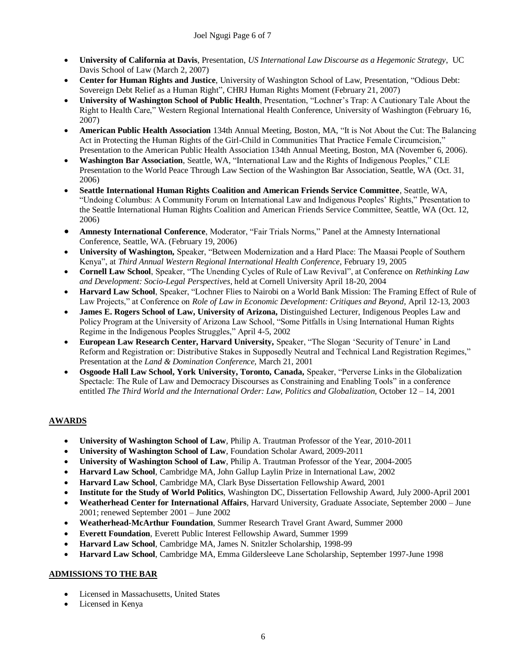- **University of California at Davis**, Presentation, *US International Law Discourse as a Hegemonic Strategy*, UC Davis School of Law (March 2, 2007)
- **Center for Human Rights and Justice**, University of Washington School of Law, Presentation, "Odious Debt: Sovereign Debt Relief as a Human Right", CHRJ Human Rights Moment (February 21, 2007)
- **University of Washington School of Public Health**, Presentation, "Lochner's Trap: A Cautionary Tale About the Right to Health Care," Western Regional International Health Conference, University of Washington (February 16, 2007)
- **American Public Health Association** 134th Annual Meeting, Boston, MA, "It is Not About the Cut: The Balancing Act in Protecting the Human Rights of the Girl-Child in Communities That Practice Female Circumcision," Presentation to the American Public Health Association 134th Annual Meeting, Boston, MA (November 6, 2006).
- **Washington Bar Association**, Seattle, WA, "International Law and the Rights of Indigenous Peoples," CLE Presentation to the World Peace Through Law Section of the Washington Bar Association, Seattle, WA (Oct. 31, 2006)
- **Seattle International Human Rights Coalition and American Friends Service Committee**, Seattle, WA, "Undoing Columbus: A Community Forum on International Law and Indigenous Peoples" Rights," Presentation to the Seattle International Human Rights Coalition and American Friends Service Committee, Seattle, WA (Oct. 12, 2006)
- **Amnesty International Conference**, Moderator, "Fair Trials Norms," Panel at the Amnesty International Conference, Seattle, WA. (February 19, 2006)
- **University of Washington,** Speaker, "Between Modernization and a Hard Place: The Maasai People of Southern Kenya", at *Third Annual Western Regional International Health Conference*, February 19, 2005
- **Cornell Law School**, Speaker, "The Unending Cycles of Rule of Law Revival", at Conference on *Rethinking Law and Development: Socio-Legal Perspectives*, held at Cornell University April 18-20, 2004
- **Harvard Law School**, Speaker, "Lochner Flies to Nairobi on a World Bank Mission: The Framing Effect of Rule of Law Projects," at Conference on *Role of Law in Economic Development: Critiques and Beyond, April 12-13, 2003*
- **James E. Rogers School of Law, University of Arizona,** Distinguished Lecturer, Indigenous Peoples Law and Policy Program at the University of Arizona Law School, "Some Pitfalls in Using International Human Rights Regime in the Indigenous Peoples Struggles," April 4-5, 2002
- **European Law Research Center, Harvard University,** Speaker, "The Slogan "Security of Tenure" in Land Reform and Registration or: Distributive Stakes in Supposedly Neutral and Technical Land Registration Regimes," Presentation at the *Land & Domination Conference,* March 21, 2001
- **Osgoode Hall Law School, York University, Toronto, Canada,** Speaker, "Perverse Links in the Globalization Spectacle: The Rule of Law and Democracy Discourses as Constraining and Enabling Tools" in a conference entitled *The Third World and the International Order: Law, Politics and Globalization,* October 12 – 14, 2001

# **AWARDS**

- **University of Washington School of Law**, Philip A. Trautman Professor of the Year, 2010-2011
- **University of Washington School of Law**, Foundation Scholar Award, 2009-2011
- **University of Washington School of Law**, Philip A. Trautman Professor of the Year, 2004-2005
- **Harvard Law School**, Cambridge MA, John Gallup Laylin Prize in International Law, 2002
- **Harvard Law School**, Cambridge MA, Clark Byse Dissertation Fellowship Award, 2001
- **Institute for the Study of World Politics**, Washington DC, Dissertation Fellowship Award, July 2000-April 2001
- **Weatherhead Center for International Affairs**, Harvard University, Graduate Associate, September 2000 June 2001; renewed September 2001 – June 2002
- **Weatherhead-McArthur Foundation**, Summer Research Travel Grant Award, Summer 2000
- **Everett Foundation**, Everett Public Interest Fellowship Award, Summer 1999
- **Harvard Law School**, Cambridge MA, James N. Snitzler Scholarship, 1998-99
- **Harvard Law School**, Cambridge MA, Emma Gildersleeve Lane Scholarship, September 1997-June 1998

# **ADMISSIONS TO THE BAR**

- Licensed in Massachusetts, United States
- Licensed in Kenya